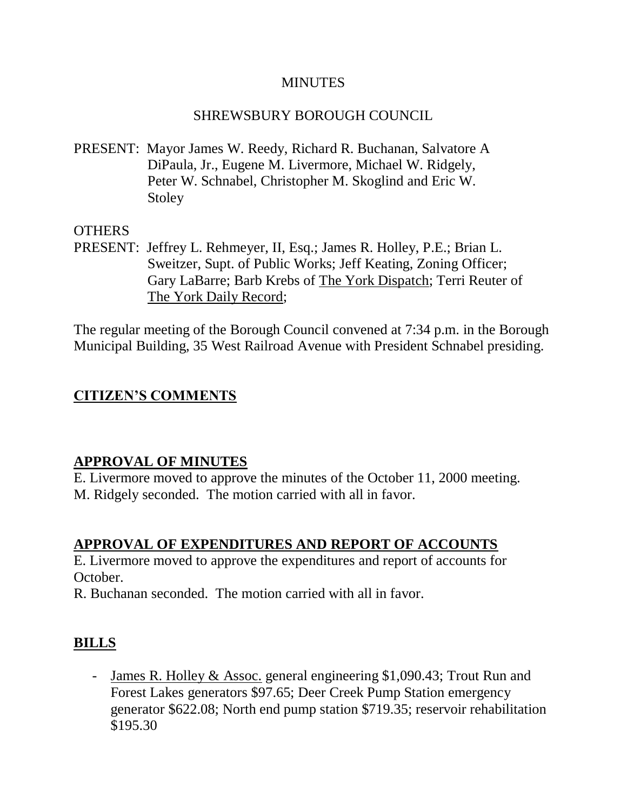#### **MINUTES**

#### SHREWSBURY BOROUGH COUNCIL

PRESENT: Mayor James W. Reedy, Richard R. Buchanan, Salvatore A DiPaula, Jr., Eugene M. Livermore, Michael W. Ridgely, Peter W. Schnabel, Christopher M. Skoglind and Eric W. Stoley

#### **OTHERS**

PRESENT: Jeffrey L. Rehmeyer, II, Esq.; James R. Holley, P.E.; Brian L. Sweitzer, Supt. of Public Works; Jeff Keating, Zoning Officer; Gary LaBarre; Barb Krebs of The York Dispatch; Terri Reuter of The York Daily Record;

The regular meeting of the Borough Council convened at 7:34 p.m. in the Borough Municipal Building, 35 West Railroad Avenue with President Schnabel presiding.

### **CITIZEN'S COMMENTS**

#### **APPROVAL OF MINUTES**

E. Livermore moved to approve the minutes of the October 11, 2000 meeting. M. Ridgely seconded. The motion carried with all in favor.

### **APPROVAL OF EXPENDITURES AND REPORT OF ACCOUNTS**

E. Livermore moved to approve the expenditures and report of accounts for October.

R. Buchanan seconded. The motion carried with all in favor.

### **BILLS**

- James R. Holley & Assoc. general engineering \$1,090.43; Trout Run and Forest Lakes generators \$97.65; Deer Creek Pump Station emergency generator \$622.08; North end pump station \$719.35; reservoir rehabilitation \$195.30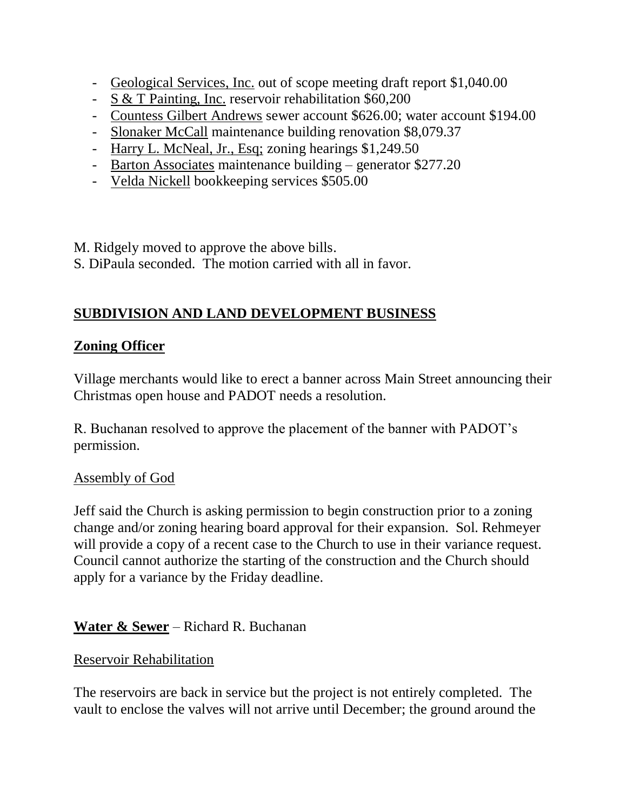- Geological Services, Inc. out of scope meeting draft report \$1,040.00
- S & T Painting, Inc. reservoir rehabilitation \$60,200
- Countess Gilbert Andrews sewer account \$626.00; water account \$194.00
- Slonaker McCall maintenance building renovation \$8,079.37
- Harry L. McNeal, Jr., Esq; zoning hearings \$1,249.50
- Barton Associates maintenance building generator \$277.20
- Velda Nickell bookkeeping services \$505.00

M. Ridgely moved to approve the above bills. S. DiPaula seconded. The motion carried with all in favor.

# **SUBDIVISION AND LAND DEVELOPMENT BUSINESS**

### **Zoning Officer**

Village merchants would like to erect a banner across Main Street announcing their Christmas open house and PADOT needs a resolution.

R. Buchanan resolved to approve the placement of the banner with PADOT's permission.

#### Assembly of God

Jeff said the Church is asking permission to begin construction prior to a zoning change and/or zoning hearing board approval for their expansion. Sol. Rehmeyer will provide a copy of a recent case to the Church to use in their variance request. Council cannot authorize the starting of the construction and the Church should apply for a variance by the Friday deadline.

### **Water & Sewer** – Richard R. Buchanan

#### Reservoir Rehabilitation

The reservoirs are back in service but the project is not entirely completed. The vault to enclose the valves will not arrive until December; the ground around the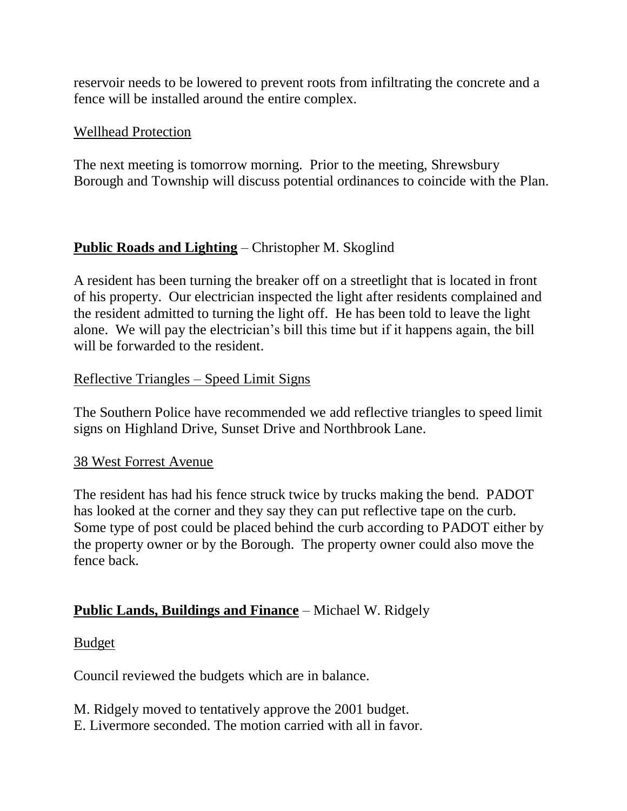reservoir needs to be lowered to prevent roots from infiltrating the concrete and a fence will be installed around the entire complex.

#### Wellhead Protection

The next meeting is tomorrow morning. Prior to the meeting, Shrewsbury Borough and Township will discuss potential ordinances to coincide with the Plan.

# **Public Roads and Lighting** – Christopher M. Skoglind

A resident has been turning the breaker off on a streetlight that is located in front of his property. Our electrician inspected the light after residents complained and the resident admitted to turning the light off. He has been told to leave the light alone. We will pay the electrician's bill this time but if it happens again, the bill will be forwarded to the resident.

### Reflective Triangles – Speed Limit Signs

The Southern Police have recommended we add reflective triangles to speed limit signs on Highland Drive, Sunset Drive and Northbrook Lane.

#### 38 West Forrest Avenue

The resident has had his fence struck twice by trucks making the bend. PADOT has looked at the corner and they say they can put reflective tape on the curb. Some type of post could be placed behind the curb according to PADOT either by the property owner or by the Borough. The property owner could also move the fence back.

### **Public Lands, Buildings and Finance** – Michael W. Ridgely

#### Budget

Council reviewed the budgets which are in balance.

M. Ridgely moved to tentatively approve the 2001 budget. E. Livermore seconded. The motion carried with all in favor.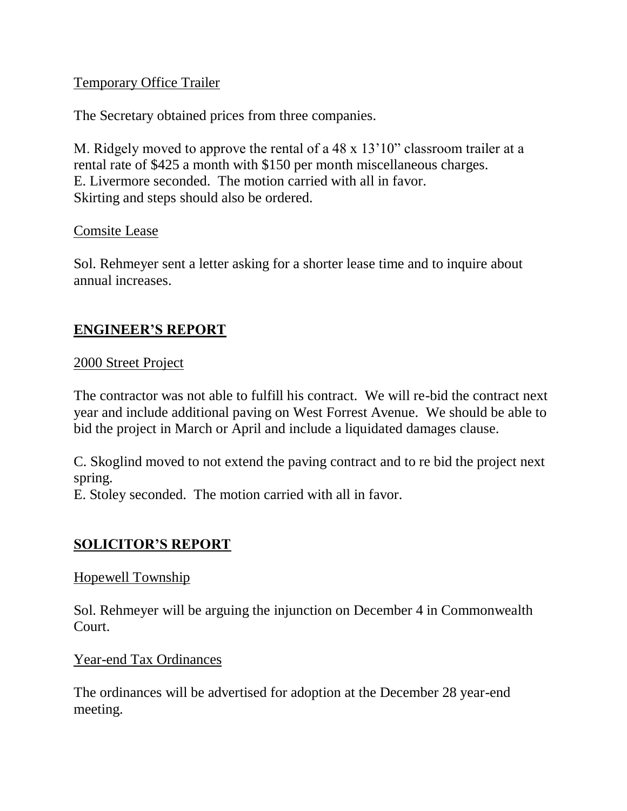### Temporary Office Trailer

The Secretary obtained prices from three companies.

M. Ridgely moved to approve the rental of a 48 x 13'10" classroom trailer at a rental rate of \$425 a month with \$150 per month miscellaneous charges. E. Livermore seconded. The motion carried with all in favor. Skirting and steps should also be ordered.

#### Comsite Lease

Sol. Rehmeyer sent a letter asking for a shorter lease time and to inquire about annual increases.

# **ENGINEER'S REPORT**

### 2000 Street Project

The contractor was not able to fulfill his contract. We will re-bid the contract next year and include additional paving on West Forrest Avenue. We should be able to bid the project in March or April and include a liquidated damages clause.

C. Skoglind moved to not extend the paving contract and to re bid the project next spring.

E. Stoley seconded. The motion carried with all in favor.

### **SOLICITOR'S REPORT**

#### Hopewell Township

Sol. Rehmeyer will be arguing the injunction on December 4 in Commonwealth Court.

Year-end Tax Ordinances

The ordinances will be advertised for adoption at the December 28 year-end meeting.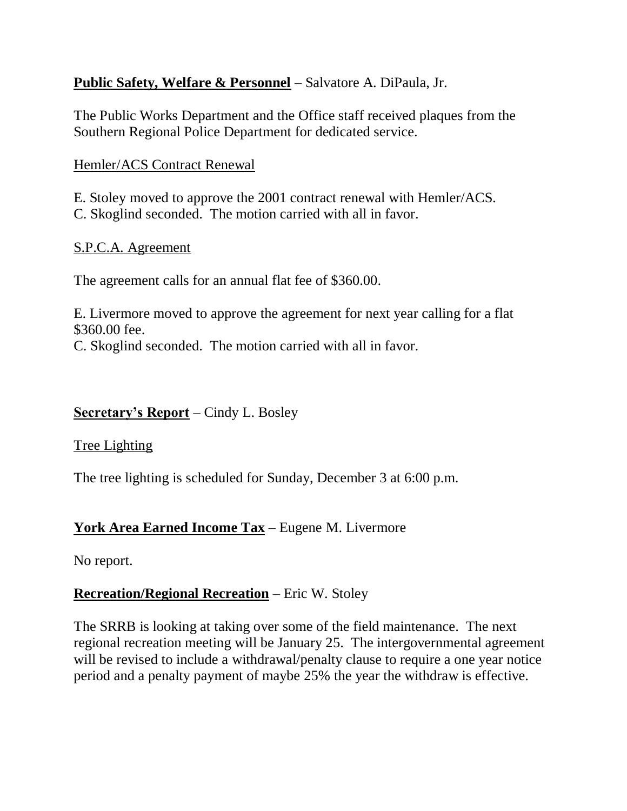# **Public Safety, Welfare & Personnel** – Salvatore A. DiPaula, Jr.

The Public Works Department and the Office staff received plaques from the Southern Regional Police Department for dedicated service.

## Hemler/ACS Contract Renewal

E. Stoley moved to approve the 2001 contract renewal with Hemler/ACS. C. Skoglind seconded. The motion carried with all in favor.

### S.P.C.A. Agreement

The agreement calls for an annual flat fee of \$360.00.

E. Livermore moved to approve the agreement for next year calling for a flat \$360.00 fee. C. Skoglind seconded. The motion carried with all in favor.

# **Secretary's Report** – Cindy L. Bosley

### Tree Lighting

The tree lighting is scheduled for Sunday, December 3 at 6:00 p.m.

# **York Area Earned Income Tax** – Eugene M. Livermore

No report.

# **Recreation/Regional Recreation** – Eric W. Stoley

The SRRB is looking at taking over some of the field maintenance. The next regional recreation meeting will be January 25. The intergovernmental agreement will be revised to include a withdrawal/penalty clause to require a one year notice period and a penalty payment of maybe 25% the year the withdraw is effective.